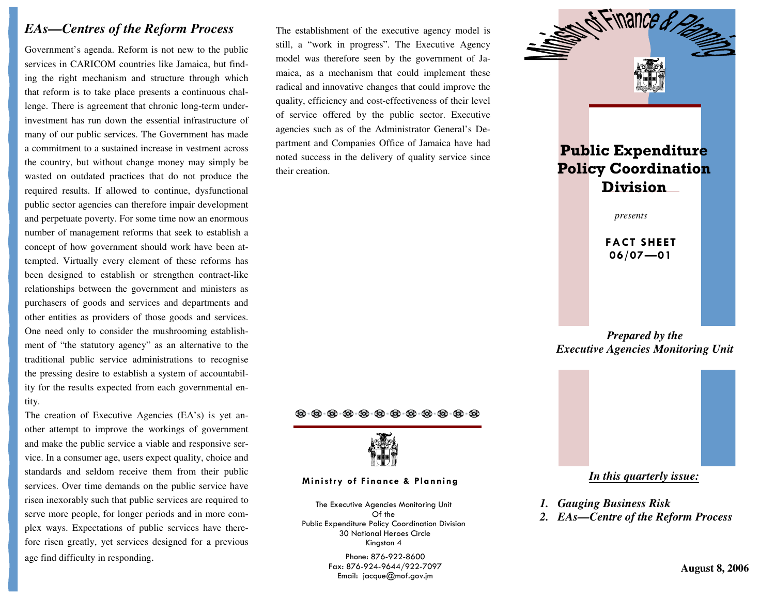## *EAs—Centres of the Reform Process*

Government's agenda. Reform is not new to the public services in CARICOM countries like Jamaica, but finding the right mechanism and structure through whichthat reform is to take place presents a continuous challenge. There is agreement that chronic long-term underinvestment has run down the essential infrastructure of many of our public services. The Government has made a commitment to a sustained increase in vestment across the country, but without change money may simply bewasted on outdated practices that do not produce the required results. If allowed to continue, dysfunctional public sector agencies can therefore impair development and perpetuate poverty. For some time now an enormous number of management reforms that seek to establish a concept of how government should work have been attempted. Virtually every element of these reforms has been designed to establish or strengthen contract-like relationships between the government and ministers as purchasers of goods and services and departments and other entities as providers of those goods and services. One need only to consider the mushrooming establishment of "the statutory agency" as an alternative to the traditional public service administrations to recognise the pressing desire to establish a system of accountability for the results expected from each governmental entity.

The creation of Executive Agencies (EA's) is yet another attempt to improve the workings of governmentand make the public service a viable and responsive service. In a consumer age, users expect quality, choice and standards and seldom receive them from their publicservices. Over time demands on the public service have risen inexorably such that public services are required to serve more people, for longer periods and in more complex ways. Expectations of public services have therefore risen greatly, yet services designed for a previous age find difficulty in responding.

The establishment of the executive agency model is still, a "work in progress". The Executive Agency model was therefore seen by the government of Jamaica, as a mechanism that could implement these radical and innovative changes that could improve the quality, efficiency and cost-effectiveness of their level of service offered by the public sector. Executive agencies such as of the Administrator General's Department and Companies Office of Jamaica have had noted success in the delivery of quality service since their creation.

## $\langle \!\!\langle \!\!\langle \rangle \!\!\rangle \!\!\rangle$  .  $\langle \!\!\langle \rangle \!\!\rangle$  .  $\langle \!\!\langle \rangle \!\!\rangle$  .  $\langle \!\!\langle \rangle \!\!\rangle$  .  $\langle \!\!\langle \rangle \!\!\rangle$  .  $\langle \!\!\langle \rangle \!\!\rangle$  .  $\langle \!\!\langle \rangle \!\!\rangle$  .  $\langle \!\!\langle \rangle \!\!\rangle$  .  $\langle \!\!\langle \rangle \!\!\rangle$  .  $\langle \!\!\langle \rangle \!\!\rangle$  .  $\langle \!\!\langle \rangle \!\!\rangle$



## Ministry of Finance & Planning *In this quarterly issue:*

The Executive Agencies Monitoring Unit Of the Public Expenditure Policy Coordination Division 30 National Heroes Circle Kingston 4

> Phone: 876-922-8600 Fax: 876-924-9644/922-7097 Email: jacque@mof.gov.jm



- *1. Gauging Business Risk*
- *2. EAs—Centre of the Reform Process*